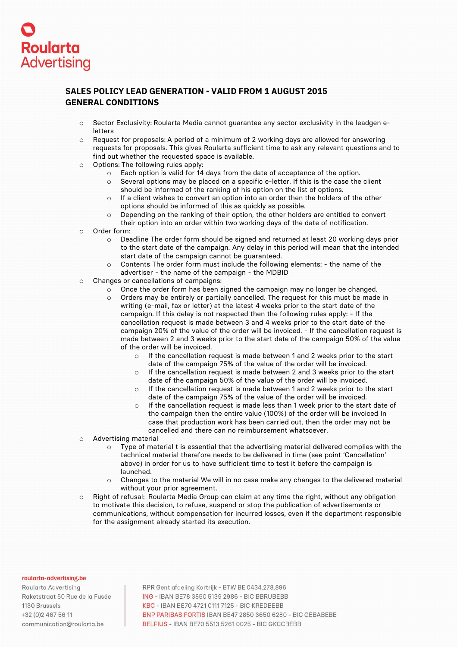

## **SALES POLICY LEAD GENERATION - VALID FROM 1 AUGUST 2015 GENERAL CONDITIONS**

- o Sector Exclusivity: Roularta Media cannot guarantee any sector exclusivity in the leadgen eletters
- o Request for proposals: A period of a minimum of 2 working days are allowed for answering requests for proposals. This gives Roularta sufficient time to ask any relevant questions and to find out whether the requested space is available.
- o Options: The following rules apply:
	- o Each option is valid for 14 days from the date of acceptance of the option.
	- $\circ$  Several options may be placed on a specific e-letter. If this is the case the client should be informed of the ranking of his option on the list of options.
	- o If a client wishes to convert an option into an order then the holders of the other options should be informed of this as quickly as possible.
	- o Depending on the ranking of their option, the other holders are entitled to convert their option into an order within two working days of the date of notification.
- o Order form:
	- o Deadline The order form should be signed and returned at least 20 working days prior to the start date of the campaign. Any delay in this period will mean that the intended start date of the campaign cannot be guaranteed.
	- o Contents The order form must include the following elements: the name of the advertiser - the name of the campaign - the MDBID
- o Changes or cancellations of campaigns:
	- $\circ$  Once the order form has been signed the campaign may no longer be changed.
		- o Orders may be entirely or partially cancelled. The request for this must be made in writing (e-mail, fax or letter) at the latest 4 weeks prior to the start date of the campaign. If this delay is not respected then the following rules apply: - If the cancellation request is made between 3 and 4 weeks prior to the start date of the campaign 20% of the value of the order will be invoiced. - If the cancellation request is made between 2 and 3 weeks prior to the start date of the campaign 50% of the value of the order will be invoiced.
			- o If the cancellation request is made between 1 and 2 weeks prior to the start date of the campaign 75% of the value of the order will be invoiced.
			- o If the cancellation request is made between 2 and 3 weeks prior to the start date of the campaign 50% of the value of the order will be invoiced.
			- o If the cancellation request is made between 1 and 2 weeks prior to the start date of the campaign 75% of the value of the order will be invoiced.
			- o If the cancellation request is made less than 1 week prior to the start date of the campaign then the entire value (100%) of the order will be invoiced In case that production work has been carried out, then the order may not be cancelled and there can no reimbursement whatsoever.
- o Advertising material
	- $\circ$  Type of material t is essential that the advertising material delivered complies with the technical material therefore needs to be delivered in time (see point 'Cancellation' above) in order for us to have sufficient time to test it before the campaign is launched.
	- o Changes to the material We will in no case make any changes to the delivered material without your prior agreement.
- o Right of refusal: Roularta Media Group can claim at any time the right, without any obligation to motivate this decision, to refuse, suspend or stop the publication of advertisements or communications, without compensation for incurred losses, even if the department responsible for the assignment already started its execution.

## roularta-advertising.be

Roularta Advertisina Raketstraat 50 Rue de la Fusée 1130 Brussels +32 (0) 2 467 56 11 communication@roularta.be

RPR Gent afdeling Kortrijk - BTW BE 0434.278.896 ING - IBAN BE78 3850 5139 2986 - BIC BBRUBEBB KBC - IBAN BE70 4721 0111 7125 - BIC KREDBEBB BNP PARIBAS FORTIS IBAN BE47 2850 3650 6280 - BIC GEBABEBB **BELFIUS - IBAN BE70 5513 5261 0025 - BIC GKCCBEBB**